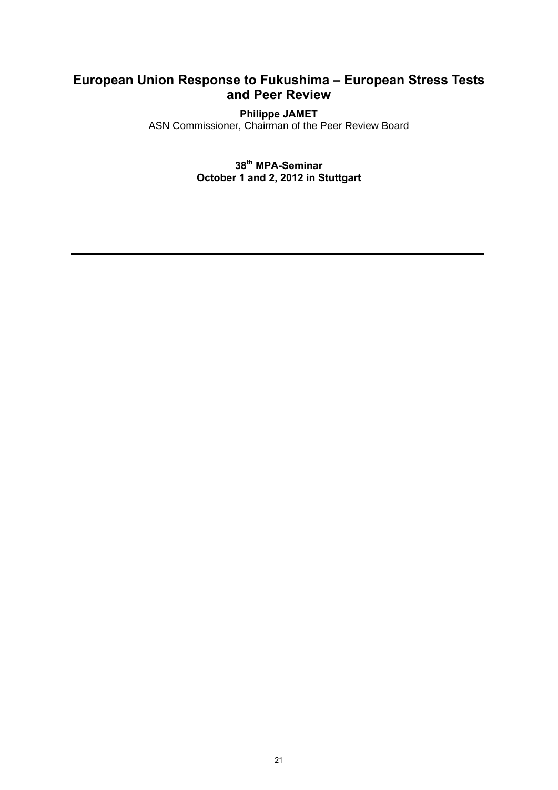# **European Union Response to Fukushima – European Stress Tests and Peer Review**

### **Philippe JAMET**

ASN Commissioner, Chairman of the Peer Review Board

**38th MPA-Seminar October 1 and 2, 2012 in Stuttgart**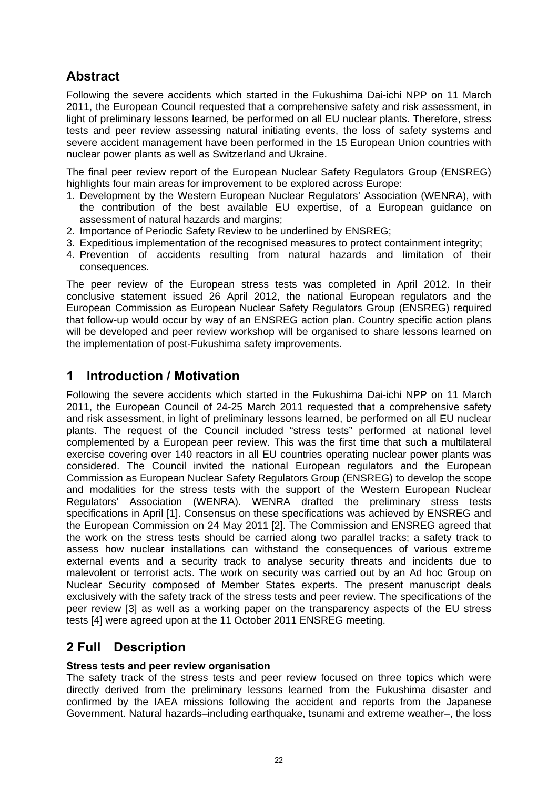# **Abstract**

Following the severe accidents which started in the Fukushima Dai-ichi NPP on 11 March 2011, the European Council requested that a comprehensive safety and risk assessment, in light of preliminary lessons learned, be performed on all EU nuclear plants. Therefore, stress tests and peer review assessing natural initiating events, the loss of safety systems and severe accident management have been performed in the 15 European Union countries with nuclear power plants as well as Switzerland and Ukraine.

The final peer review report of the European Nuclear Safety Regulators Group (ENSREG) highlights four main areas for improvement to be explored across Europe:

- 1. Development by the Western European Nuclear Regulators' Association (WENRA), with the contribution of the best available EU expertise, of a European guidance on assessment of natural hazards and margins;
- 2. Importance of Periodic Safety Review to be underlined by ENSREG;
- 3. Expeditious implementation of the recognised measures to protect containment integrity;
- 4. Prevention of accidents resulting from natural hazards and limitation of their consequences.

The peer review of the European stress tests was completed in April 2012. In their conclusive statement issued 26 April 2012, the national European regulators and the European Commission as European Nuclear Safety Regulators Group (ENSREG) required that follow-up would occur by way of an ENSREG action plan. Country specific action plans will be developed and peer review workshop will be organised to share lessons learned on the implementation of post-Fukushima safety improvements.

## **1 Introduction / Motivation**

Following the severe accidents which started in the Fukushima Dai-ichi NPP on 11 March 2011, the European Council of 24-25 March 2011 requested that a comprehensive safety and risk assessment, in light of preliminary lessons learned, be performed on all EU nuclear plants. The request of the Council included "stress tests" performed at national level complemented by a European peer review. This was the first time that such a multilateral exercise covering over 140 reactors in all EU countries operating nuclear power plants was considered. The Council invited the national European regulators and the European Commission as European Nuclear Safety Regulators Group (ENSREG) to develop the scope and modalities for the stress tests with the support of the Western European Nuclear Regulators' Association (WENRA). WENRA drafted the preliminary stress tests specifications in April [1]. Consensus on these specifications was achieved by ENSREG and the European Commission on 24 May 2011 [2]. The Commission and ENSREG agreed that the work on the stress tests should be carried along two parallel tracks; a safety track to assess how nuclear installations can withstand the consequences of various extreme external events and a security track to analyse security threats and incidents due to malevolent or terrorist acts. The work on security was carried out by an Ad hoc Group on Nuclear Security composed of Member States experts. The present manuscript deals exclusively with the safety track of the stress tests and peer review. The specifications of the peer review [3] as well as a working paper on the transparency aspects of the EU stress tests [4] were agreed upon at the 11 October 2011 ENSREG meeting.

# **2 Full Description**

### **Stress tests and peer review organisation**

The safety track of the stress tests and peer review focused on three topics which were directly derived from the preliminary lessons learned from the Fukushima disaster and confirmed by the IAEA missions following the accident and reports from the Japanese Government. Natural hazards–including earthquake, tsunami and extreme weather–, the loss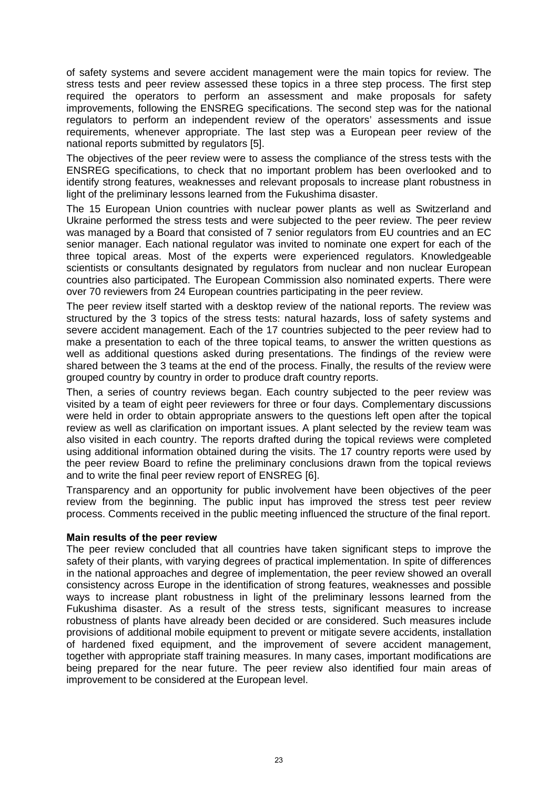of safety systems and severe accident management were the main topics for review. The stress tests and peer review assessed these topics in a three step process. The first step required the operators to perform an assessment and make proposals for safety improvements, following the ENSREG specifications. The second step was for the national regulators to perform an independent review of the operators' assessments and issue requirements, whenever appropriate. The last step was a European peer review of the national reports submitted by regulators [5].

The objectives of the peer review were to assess the compliance of the stress tests with the ENSREG specifications, to check that no important problem has been overlooked and to identify strong features, weaknesses and relevant proposals to increase plant robustness in light of the preliminary lessons learned from the Fukushima disaster.

The 15 European Union countries with nuclear power plants as well as Switzerland and Ukraine performed the stress tests and were subjected to the peer review. The peer review was managed by a Board that consisted of 7 senior regulators from EU countries and an EC senior manager. Each national regulator was invited to nominate one expert for each of the three topical areas. Most of the experts were experienced regulators. Knowledgeable scientists or consultants designated by regulators from nuclear and non nuclear European countries also participated. The European Commission also nominated experts. There were over 70 reviewers from 24 European countries participating in the peer review.

The peer review itself started with a desktop review of the national reports. The review was structured by the 3 topics of the stress tests: natural hazards, loss of safety systems and severe accident management. Each of the 17 countries subjected to the peer review had to make a presentation to each of the three topical teams, to answer the written questions as well as additional questions asked during presentations. The findings of the review were shared between the 3 teams at the end of the process. Finally, the results of the review were grouped country by country in order to produce draft country reports.

Then, a series of country reviews began. Each country subjected to the peer review was visited by a team of eight peer reviewers for three or four days. Complementary discussions were held in order to obtain appropriate answers to the questions left open after the topical review as well as clarification on important issues. A plant selected by the review team was also visited in each country. The reports drafted during the topical reviews were completed using additional information obtained during the visits. The 17 country reports were used by the peer review Board to refine the preliminary conclusions drawn from the topical reviews and to write the final peer review report of ENSREG [6].

Transparency and an opportunity for public involvement have been objectives of the peer review from the beginning. The public input has improved the stress test peer review process. Comments received in the public meeting influenced the structure of the final report.

#### **Main results of the peer review**

The peer review concluded that all countries have taken significant steps to improve the safety of their plants, with varying degrees of practical implementation. In spite of differences in the national approaches and degree of implementation, the peer review showed an overall consistency across Europe in the identification of strong features, weaknesses and possible ways to increase plant robustness in light of the preliminary lessons learned from the Fukushima disaster. As a result of the stress tests, significant measures to increase robustness of plants have already been decided or are considered. Such measures include provisions of additional mobile equipment to prevent or mitigate severe accidents, installation of hardened fixed equipment, and the improvement of severe accident management, together with appropriate staff training measures. In many cases, important modifications are being prepared for the near future. The peer review also identified four main areas of improvement to be considered at the European level.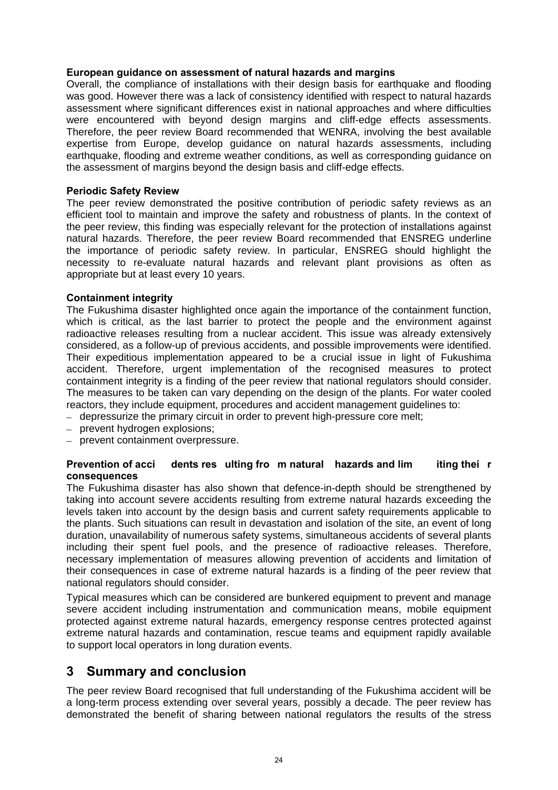#### **European guidance on assessment of natural hazards and margins**

Overall, the compliance of installations with their design basis for earthquake and flooding was good. However there was a lack of consistency identified with respect to natural hazards assessment where significant differences exist in national approaches and where difficulties were encountered with beyond design margins and cliff-edge effects assessments. Therefore, the peer review Board recommended that WENRA, involving the best available expertise from Europe, develop guidance on natural hazards assessments, including earthquake, flooding and extreme weather conditions, as well as corresponding guidance on the assessment of margins beyond the design basis and cliff-edge effects.

#### **Periodic Safety Review**

The peer review demonstrated the positive contribution of periodic safety reviews as an efficient tool to maintain and improve the safety and robustness of plants. In the context of the peer review, this finding was especially relevant for the protection of installations against natural hazards. Therefore, the peer review Board recommended that ENSREG underline the importance of periodic safety review. In particular, ENSREG should highlight the necessity to re-evaluate natural hazards and relevant plant provisions as often as appropriate but at least every 10 years.

#### **Containment integrity**

The Fukushima disaster highlighted once again the importance of the containment function, which is critical, as the last barrier to protect the people and the environment against radioactive releases resulting from a nuclear accident. This issue was already extensively considered, as a follow-up of previous accidents, and possible improvements were identified. Their expeditious implementation appeared to be a crucial issue in light of Fukushima accident. Therefore, urgent implementation of the recognised measures to protect containment integrity is a finding of the peer review that national regulators should consider. The measures to be taken can vary depending on the design of the plants. For water cooled reactors, they include equipment, procedures and accident management guidelines to:

- depressurize the primary circuit in order to prevent high-pressure core melt;
- prevent hydrogen explosions;
- prevent containment overpressure.

#### **Prevention of acci dents res ulting fro m natural hazards and lim iting thei r consequences**

The Fukushima disaster has also shown that defence-in-depth should be strengthened by taking into account severe accidents resulting from extreme natural hazards exceeding the levels taken into account by the design basis and current safety requirements applicable to the plants. Such situations can result in devastation and isolation of the site, an event of long duration, unavailability of numerous safety systems, simultaneous accidents of several plants including their spent fuel pools, and the presence of radioactive releases. Therefore, necessary implementation of measures allowing prevention of accidents and limitation of their consequences in case of extreme natural hazards is a finding of the peer review that national regulators should consider.

Typical measures which can be considered are bunkered equipment to prevent and manage severe accident including instrumentation and communication means, mobile equipment protected against extreme natural hazards, emergency response centres protected against extreme natural hazards and contamination, rescue teams and equipment rapidly available to support local operators in long duration events.

## **3 Summary and conclusion**

The peer review Board recognised that full understanding of the Fukushima accident will be a long-term process extending over several years, possibly a decade. The peer review has demonstrated the benefit of sharing between national regulators the results of the stress